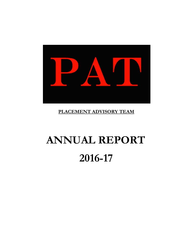

# **PLACEMENT ADVISORY TEAM**

# **ANNUAL REPORT 2016-17**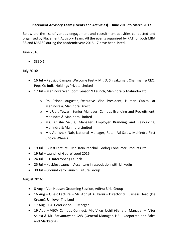### **Placement Advisory Team (Events and Activities) – June 2016 to March 2017**

Below are the list of various engagement and recruitment activities conducted and organized by Placement Advisory Team. All the events organized by PAT for both MBA 38 and MBA39 during the academic year 2016-17 have been listed.

June 2016:

 $\bullet$  SEED 1

July 2016:

- 16 Jul Pepsico Campus Welcome Fest Mr. D. Shivakumar, Chairman & CEO, PepsiCo India Holdings Private Limited
- 17 Jul Mahindra War Room Season 9 Launch, Mahindra & Mahindra Ltd.
	- o Dr. Prince Augustin, Executive Vice President, Human Capital at Mahindra & Mahindra Direct
	- o Mr. Udit Tewari, Senior Manager, Campus Branding and Recruitment, Mahindra & Mahindra Limited
	- o Ms. Anisha Saluja, Manager, Employer Branding and Resourcing, Mahindra & Mahindra Limited
	- o Mr. Abhishek Nair, National Manager, Retail Ad Sales, Mahindra First Choice Wheels
- 19 Jul Guest Lecture Mr. Jatin Panchal, Godrej Consumer Products Ltd.
- 19 Jul Launch of Godrej Loud 2016
- 24 Jul ITC Interrobang Launch
- 25 Jul Hackfest Launch, Accenture in association with Linkedin
- 30 Jul Ground Zero Launch, Future Group

## August 2016:

- 8 Aug Van Heusen Grooming Session, Aditya Birla Group
- 16 Aug Guest Lecture Mr. Abhijit Kulkarni Director & Business Head (Ice Cream), Unilever Thailand
- 17 Aug CAU Workshop, JP Morgan
- 19 Aug VECV Campus Connect, Mr. Vikas Uchil (General Manager After Sales) & Mr. Satyanrayana GVV (General Manager, HR – Corporate and Sales and Marketing)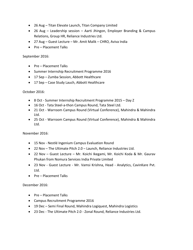- 26 Aug Titan Elevate Launch, Titan Company Limited
- 26 Aug Leadership session Aarti Jhingon, Employer Branding & Campus Relations, Group HR, Reliance Industries Ltd.
- 27 Aug Guest Lecture Mr. Amit Malik CHRO, Aviva India
- Pre Placement Talks

#### September 2016:

- Pre Placement Talks
- Summer Internship Recruitment Programme 2016
- 17 Sep Zumba Session, Abbott Healthcare
- 17 Sep Case Study Lauch, Abbott Healthcare

#### October 2016:

- 8 Oct Summer Internship Recruitment Programme 2015 Day Z
- 16 Oct Tata Steel-a-thon Campus Round, Tata Steel Ltd.
- 21 Oct Warroom Campus Round (Virtual Conference), Mahindra & Mahindra Ltd.
- 25 Oct Warroom Campus Round (Virtual Conference), Mahindra & Mahindra Ltd.

#### November 2016:

- 15 Nov Nestlé Ingenium Campus Evaluation Round
- 22 Nov The Ultimate Pitch 2.0 Launch, Reliance Industries Ltd.
- 22 Nov Guest Lecture Mr. Koichi Ikegami, Mr. Koichi Koda & Mr. Gaurav Phukan from Nomura Services India Private Limited
- 23 Nov Guest Lecture Mr. Vamsi Krishna, Head Analytics, CavinKare Pvt. Ltd.
- Pre Placement Talks

#### December 2016:

- Pre Placement Talks
- Campus Recruitment Programme 2016
- 19 Dec Semi Final Round, Mahindra Logiquest, Mahindra Logistics
- 23 Dec The Ultimate Pitch 2.0 Zonal Round, Reliance Industries Ltd.